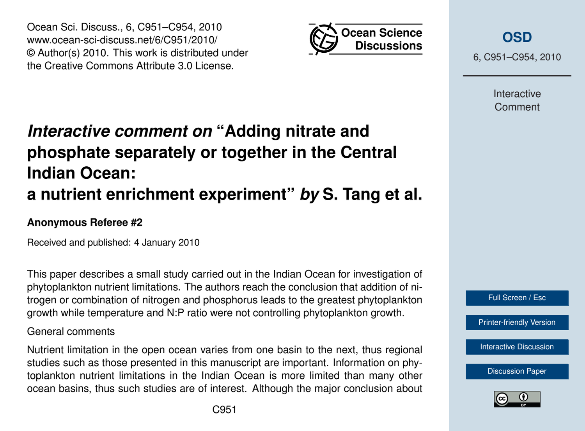

Ocean Sci. Discuss., 6, C951–C954, 2010 www.ocean-sci-discuss.net/6/C951/2010/ © Author(s) 2010. This work is distributed under the Creative Commons Attribute 3.0 License.

# *Interactive comment on* **"Adding nitrate and phosphate separately or together in the Central Indian Ocean: a nutrient enrichment experiment"** *by* **S. Tang et al.**

### **Anonymous Referee #2**

Received and published: 4 January 2010

This paper describes a small study carried out in the Indian Ocean for investigation of phytoplankton nutrient limitations. The authors reach the conclusion that addition of nitrogen or combination of nitrogen and phosphorus leads to the greatest phytoplankton growth while temperature and N:P ratio were not controlling phytoplankton growth.

### General comments

Nutrient limitation in the open ocean varies from one basin to the next, thus regional studies such as those presented in this manuscript are important. Information on phytoplankton nutrient limitations in the Indian Ocean is more limited than many other ocean basins, thus such studies are of interest. Although the major conclusion about 6, C951–C954, 2010

Interactive Comment



[Printer-friendly Version](http://www.ocean-sci-discuss.net/6/C951/2010/osd-6-C951-2010-print.pdf)

[Interactive Discussion](http://www.ocean-sci-discuss.net/6/2649/2009/osd-6-2649-2009-discussion.html)

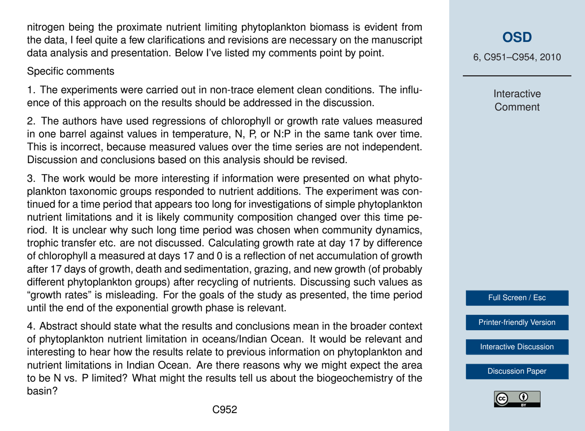nitrogen being the proximate nutrient limiting phytoplankton biomass is evident from the data, I feel quite a few clarifications and revisions are necessary on the manuscript data analysis and presentation. Below I've listed my comments point by point.

#### Specific comments

1. The experiments were carried out in non-trace element clean conditions. The influence of this approach on the results should be addressed in the discussion.

2. The authors have used regressions of chlorophyll or growth rate values measured in one barrel against values in temperature, N, P, or N:P in the same tank over time. This is incorrect, because measured values over the time series are not independent. Discussion and conclusions based on this analysis should be revised.

3. The work would be more interesting if information were presented on what phytoplankton taxonomic groups responded to nutrient additions. The experiment was continued for a time period that appears too long for investigations of simple phytoplankton nutrient limitations and it is likely community composition changed over this time period. It is unclear why such long time period was chosen when community dynamics, trophic transfer etc. are not discussed. Calculating growth rate at day 17 by difference of chlorophyll a measured at days 17 and 0 is a reflection of net accumulation of growth after 17 days of growth, death and sedimentation, grazing, and new growth (of probably different phytoplankton groups) after recycling of nutrients. Discussing such values as "growth rates" is misleading. For the goals of the study as presented, the time period until the end of the exponential growth phase is relevant.

4. Abstract should state what the results and conclusions mean in the broader context of phytoplankton nutrient limitation in oceans/Indian Ocean. It would be relevant and interesting to hear how the results relate to previous information on phytoplankton and nutrient limitations in Indian Ocean. Are there reasons why we might expect the area to be N vs. P limited? What might the results tell us about the biogeochemistry of the basin?

## **[OSD](http://www.ocean-sci-discuss.net)**

6, C951–C954, 2010

Interactive Comment



[Printer-friendly Version](http://www.ocean-sci-discuss.net/6/C951/2010/osd-6-C951-2010-print.pdf)

[Interactive Discussion](http://www.ocean-sci-discuss.net/6/2649/2009/osd-6-2649-2009-discussion.html)

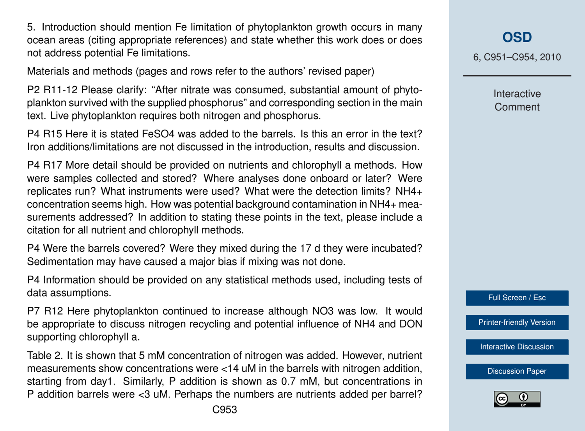5. Introduction should mention Fe limitation of phytoplankton growth occurs in many ocean areas (citing appropriate references) and state whether this work does or does not address potential Fe limitations.

Materials and methods (pages and rows refer to the authors' revised paper)

P2 R11-12 Please clarify: "After nitrate was consumed, substantial amount of phytoplankton survived with the supplied phosphorus" and corresponding section in the main text. Live phytoplankton requires both nitrogen and phosphorus.

P4 R15 Here it is stated FeSO4 was added to the barrels. Is this an error in the text? Iron additions/limitations are not discussed in the introduction, results and discussion.

P4 R17 More detail should be provided on nutrients and chlorophyll a methods. How were samples collected and stored? Where analyses done onboard or later? Were replicates run? What instruments were used? What were the detection limits? NH4+ concentration seems high. How was potential background contamination in NH4+ measurements addressed? In addition to stating these points in the text, please include a citation for all nutrient and chlorophyll methods.

P4 Were the barrels covered? Were they mixed during the 17 d they were incubated? Sedimentation may have caused a major bias if mixing was not done.

P4 Information should be provided on any statistical methods used, including tests of data assumptions.

P7 R12 Here phytoplankton continued to increase although NO3 was low. It would be appropriate to discuss nitrogen recycling and potential influence of NH4 and DON supporting chlorophyll a.

Table 2. It is shown that 5 mM concentration of nitrogen was added. However, nutrient measurements show concentrations were <14 uM in the barrels with nitrogen addition, starting from day1. Similarly, P addition is shown as 0.7 mM, but concentrations in P addition barrels were <3 uM. Perhaps the numbers are nutrients added per barrel?

6, C951–C954, 2010

Interactive Comment

Full Screen / Esc

[Printer-friendly Version](http://www.ocean-sci-discuss.net/6/C951/2010/osd-6-C951-2010-print.pdf)

[Interactive Discussion](http://www.ocean-sci-discuss.net/6/2649/2009/osd-6-2649-2009-discussion.html)